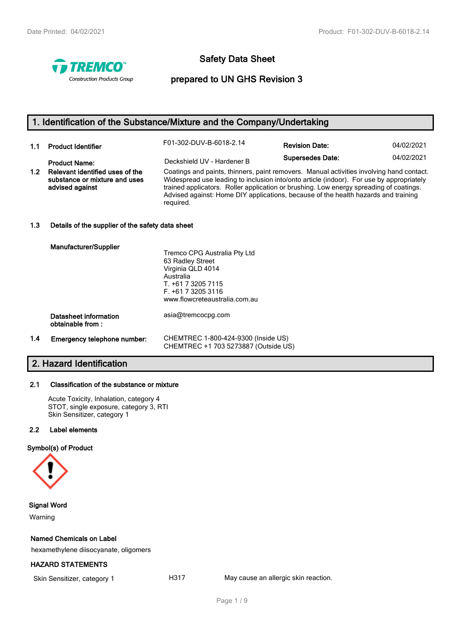

# **Safety Data Sheet**

## **prepared to UN GHS Revision 3**

# **1. Identification of the Substance/Mixture and the Company/Undertaking**

| 1.1              | <b>Product Identifier</b>                                                           | F01-302-DUV-B-6018-2.14                                                                                                                                                                                                                                                                                                                                                           | <b>Revision Date:</b>   | 04/02/2021 |
|------------------|-------------------------------------------------------------------------------------|-----------------------------------------------------------------------------------------------------------------------------------------------------------------------------------------------------------------------------------------------------------------------------------------------------------------------------------------------------------------------------------|-------------------------|------------|
|                  | <b>Product Name:</b>                                                                | Deckshield UV - Hardener B                                                                                                                                                                                                                                                                                                                                                        | <b>Supersedes Date:</b> | 04/02/2021 |
| 1.2 <sub>2</sub> | Relevant identified uses of the<br>substance or mixture and uses<br>advised against | Coatings and paints, thinners, paint removers. Manual activities involving hand contact.<br>Widespread use leading to inclusion into/onto article (indoor). For use by appropriately<br>trained applicators. Roller application or brushing. Low energy spreading of coatings.<br>Advised against: Home DIY applications, because of the health hazards and training<br>required. |                         |            |

## **1.3 Details of the supplier of the safety data sheet**

|     | <b>Manufacturer/Supplier</b>              | Tremco CPG Australia Pty Ltd<br>63 Radley Street<br>Virginia QLD 4014<br>Australia<br>T. +61 7 3205 7115<br>$F. +61732053116$<br>www.flowcreteaustralia.com.au |
|-----|-------------------------------------------|----------------------------------------------------------------------------------------------------------------------------------------------------------------|
|     | Datasheet information<br>obtainable from: | asia@tremcocpg.com                                                                                                                                             |
| 1.4 | Emergency telephone number:               | CHEMTREC 1-800-424-9300 (Inside US)<br>CHEMTREC +1 703 5273887 (Outside US)                                                                                    |

# **2. Hazard Identification**

## **2.1 Classification of the substance or mixture**

Acute Toxicity, Inhalation, category 4 STOT, single exposure, category 3, RTI Skin Sensitizer, category 1

## **2.2 Label elements**

## **Symbol(s) of Product**



## **Signal Word**

Warning

## **Named Chemicals on Label**

hexamethylene diisocyanate, oligomers

## **HAZARD STATEMENTS**

Skin Sensitizer, category 1 **H317** May cause an allergic skin reaction.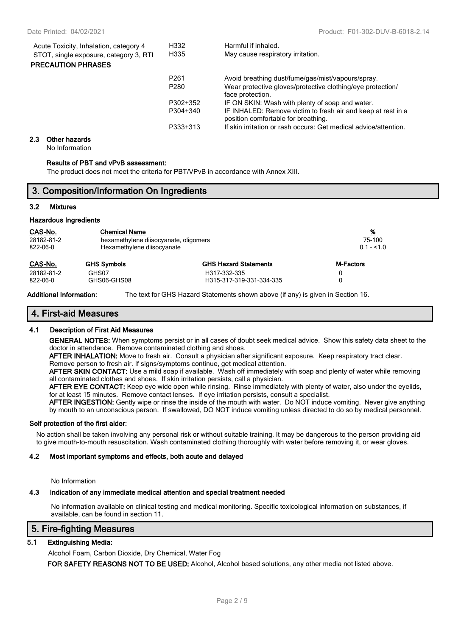| Acute Toxicity, Inhalation, category 4 | H332             | Harmful if inhaled.                                                                                 |
|----------------------------------------|------------------|-----------------------------------------------------------------------------------------------------|
| STOT, single exposure, category 3, RTI | H335             | May cause respiratory irritation.                                                                   |
| <b>PRECAUTION PHRASES</b>              |                  |                                                                                                     |
|                                        | P <sub>261</sub> | Avoid breathing dust/fume/gas/mist/vapours/spray.                                                   |
|                                        | P <sub>280</sub> | Wear protective gloves/protective clothing/eye protection/<br>face protection.                      |
|                                        | P302+352         | IF ON SKIN: Wash with plenty of soap and water.                                                     |
|                                        | P304+340         | IF INHALED: Remove victim to fresh air and keep at rest in a<br>position comfortable for breathing. |
|                                        | P333+313         | If skin irritation or rash occurs: Get medical advice/attention.                                    |

#### **2.3 Other hazards**

No Information

#### **Results of PBT and vPvB assessment:**

The product does not meet the criteria for PBT/VPvB in accordance with Annex XIII.

## **3. Composition/Information On Ingredients**

### **3.2 Mixtures**

#### **Hazardous Ingredients**

| CAS-No.    | <b>Chemical Name</b>                  |                              | <u>%</u>         |
|------------|---------------------------------------|------------------------------|------------------|
| 28182-81-2 | hexamethylene diisocyanate, oligomers |                              | 75-100           |
| 822-06-0   | Hexamethylene diisocyanate            |                              | $0.1 - 51.0$     |
| CAS-No.    | <b>GHS Symbols</b>                    | <b>GHS Hazard Statements</b> | <b>M-Factors</b> |
| 28182-81-2 | GHS07                                 | H317-332-335                 |                  |
| 822-06-0   | GHS06-GHS08                           | H315-317-319-331-334-335     |                  |

**Additional Information:** The text for GHS Hazard Statements shown above (if any) is given in Section 16.

## **4. First-aid Measures**

## **4.1 Description of First Aid Measures**

**GENERAL NOTES:** When symptoms persist or in all cases of doubt seek medical advice. Show this safety data sheet to the doctor in attendance. Remove contaminated clothing and shoes.

**AFTER INHALATION:** Move to fresh air. Consult a physician after significant exposure. Keep respiratory tract clear. Remove person to fresh air. If signs/symptoms continue, get medical attention.

**AFTER SKIN CONTACT:** Use a mild soap if available. Wash off immediately with soap and plenty of water while removing all contaminated clothes and shoes. If skin irritation persists, call a physician.

**AFTER EYE CONTACT:** Keep eye wide open while rinsing. Rinse immediately with plenty of water, also under the eyelids, for at least 15 minutes. Remove contact lenses. If eye irritation persists, consult a specialist.

**AFTER INGESTION:** Gently wipe or rinse the inside of the mouth with water. Do NOT induce vomiting. Never give anything by mouth to an unconscious person. If swallowed, DO NOT induce vomiting unless directed to do so by medical personnel.

#### **Self protection of the first aider:**

No action shall be taken involving any personal risk or without suitable training. It may be dangerous to the person providing aid to give mouth-to-mouth resuscitation. Wash contaminated clothing thoroughly with water before removing it, or wear gloves.

#### **4.2 Most important symptoms and effects, both acute and delayed**

No Information

## **4.3 Indication of any immediate medical attention and special treatment needed**

No information available on clinical testing and medical monitoring. Specific toxicological information on substances, if available, can be found in section 11.

## **5. Fire-fighting Measures**

## **5.1 Extinguishing Media:**

Alcohol Foam, Carbon Dioxide, Dry Chemical, Water Fog

**FOR SAFETY REASONS NOT TO BE USED:** Alcohol, Alcohol based solutions, any other media not listed above.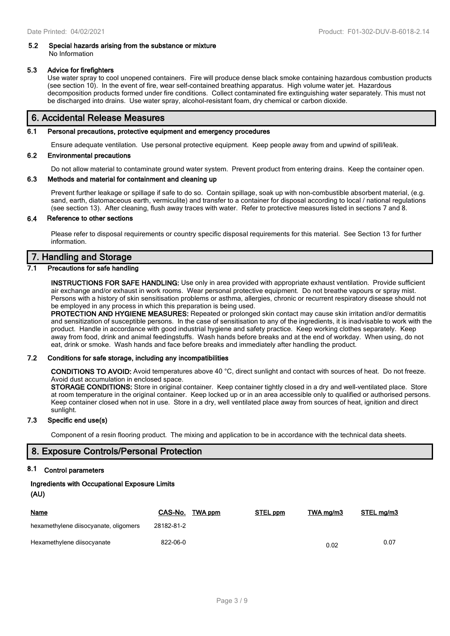## **5.2 Special hazards arising from the substance or mixture** No Information

## **5.3 Advice for firefighters**

Use water spray to cool unopened containers. Fire will produce dense black smoke containing hazardous combustion products (see section 10). In the event of fire, wear self-contained breathing apparatus. High volume water jet. Hazardous decomposition products formed under fire conditions. Collect contaminated fire extinguishing water separately. This must not be discharged into drains. Use water spray, alcohol-resistant foam, dry chemical or carbon dioxide.

## **6. Accidental Release Measures**

## **6.1 Personal precautions, protective equipment and emergency procedures**

Ensure adequate ventilation. Use personal protective equipment. Keep people away from and upwind of spill/leak.

## **6.2 Environmental precautions**

Do not allow material to contaminate ground water system. Prevent product from entering drains. Keep the container open.

## **6.3 Methods and material for containment and cleaning up**

Prevent further leakage or spillage if safe to do so. Contain spillage, soak up with non-combustible absorbent material, (e.g. sand, earth, diatomaceous earth, vermiculite) and transfer to a container for disposal according to local / national regulations (see section 13). After cleaning, flush away traces with water. Refer to protective measures listed in sections 7 and 8.

## **6.4 Reference to other sections**

Please refer to disposal requirements or country specific disposal requirements for this material. See Section 13 for further information.

## **7. Handling and Storage**

## **7.1 Precautions for safe handling**

**INSTRUCTIONS FOR SAFE HANDLING:** Use only in area provided with appropriate exhaust ventilation. Provide sufficient air exchange and/or exhaust in work rooms. Wear personal protective equipment. Do not breathe vapours or spray mist. Persons with a history of skin sensitisation problems or asthma, allergies, chronic or recurrent respiratory disease should not be employed in any process in which this preparation is being used.

**PROTECTION AND HYGIENE MEASURES:** Repeated or prolonged skin contact may cause skin irritation and/or dermatitis and sensitization of susceptible persons. In the case of sensitisation to any of the ingredients, it is inadvisable to work with the product. Handle in accordance with good industrial hygiene and safety practice. Keep working clothes separately. Keep away from food, drink and animal feedingstuffs. Wash hands before breaks and at the end of workday. When using, do not eat, drink or smoke. Wash hands and face before breaks and immediately after handling the product.

#### **7.2 Conditions for safe storage, including any incompatibilities**

**CONDITIONS TO AVOID:** Avoid temperatures above 40 °C, direct sunlight and contact with sources of heat. Do not freeze. Avoid dust accumulation in enclosed space.

**STORAGE CONDITIONS:** Store in original container. Keep container tightly closed in a dry and well-ventilated place. Store at room temperature in the original container. Keep locked up or in an area accessible only to qualified or authorised persons. Keep container closed when not in use. Store in a dry, well ventilated place away from sources of heat, ignition and direct sunlight.

## **7.3 Specific end use(s)**

Component of a resin flooring product. The mixing and application to be in accordance with the technical data sheets.

## **8. Exposure Controls/Personal Protection**

## **8.1 Control parameters**

## **Ingredients with Occupational Exposure Limits**

```
(AU)
```

| <b>Name</b>                           | CAS-No.    | TWA ppm | STEL ppm | TWA mg/m3 | STEL mg/m3 |
|---------------------------------------|------------|---------|----------|-----------|------------|
| hexamethylene diisocyanate, oligomers | 28182-81-2 |         |          |           |            |
| Hexamethylene diisocyanate            | 822-06-0   |         |          | 0.02      | 0.07       |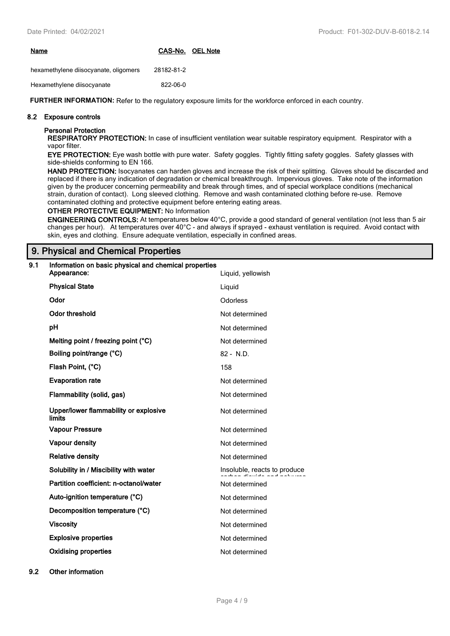| Name | CAS-No. OEL Note |  |
|------|------------------|--|
|      |                  |  |

hexamethylene diisocyanate, oligomers 28182-81-2

Hexamethylene diisocyanate 822-06-0

**FURTHER INFORMATION:** Refer to the regulatory exposure limits for the workforce enforced in each country.

## **8.2 Exposure controls**

## **Personal Protection**

**RESPIRATORY PROTECTION:** In case of insufficient ventilation wear suitable respiratory equipment. Respirator with a vapor filter.

**EYE PROTECTION:** Eye wash bottle with pure water. Safety goggles. Tightly fitting safety goggles. Safety glasses with side-shields conforming to EN 166.

HAND PROTECTION: Isocyanates can harden gloves and increase the risk of their splitting. Gloves should be discarded and replaced if there is any indication of degradation or chemical breakthrough. Impervious gloves. Take note of the information given by the producer concerning permeability and break through times, and of special workplace conditions (mechanical strain, duration of contact). Long sleeved clothing. Remove and wash contaminated clothing before re-use. Remove contaminated clothing and protective equipment before entering eating areas.

## **OTHER PROTECTIVE EQUIPMENT:** No Information

**ENGINEERING CONTROLS:** At temperatures below 40°C, provide a good standard of general ventilation (not less than 5 air changes per hour). At temperatures over 40°C - and always if sprayed - exhaust ventilation is required. Avoid contact with skin, eyes and clothing. Ensure adequate ventilation, especially in confined areas.

## **9. Physical and Chemical Properties**

| 9.1 | Information on basic physical and chemical properties<br>Appearance: | Liquid, yellowish            |
|-----|----------------------------------------------------------------------|------------------------------|
|     | <b>Physical State</b>                                                | Liquid                       |
|     | Odor                                                                 | <b>Odorless</b>              |
|     | <b>Odor threshold</b>                                                | Not determined               |
|     | pH                                                                   | Not determined               |
|     | Melting point / freezing point (°C)                                  | Not determined               |
|     | Boiling point/range (°C)                                             | 82 - N.D.                    |
|     | Flash Point, (°C)                                                    | 158                          |
|     | <b>Evaporation rate</b>                                              | Not determined               |
|     | Flammability (solid, gas)                                            | Not determined               |
|     | Upper/lower flammability or explosive<br><b>limits</b>               | Not determined               |
|     | <b>Vapour Pressure</b>                                               | Not determined               |
|     | Vapour density                                                       | Not determined               |
|     | <b>Relative density</b>                                              | Not determined               |
|     | Solubility in / Miscibility with water                               | Insoluble, reacts to produce |
|     | Partition coefficient: n-octanol/water                               | Not determined               |
|     | Auto-ignition temperature (°C)                                       | Not determined               |
|     | Decomposition temperature (°C)                                       | Not determined               |
|     | <b>Viscosity</b>                                                     | Not determined               |
|     | <b>Explosive properties</b>                                          | Not determined               |
|     | <b>Oxidising properties</b>                                          | Not determined               |

**9.2 Other information**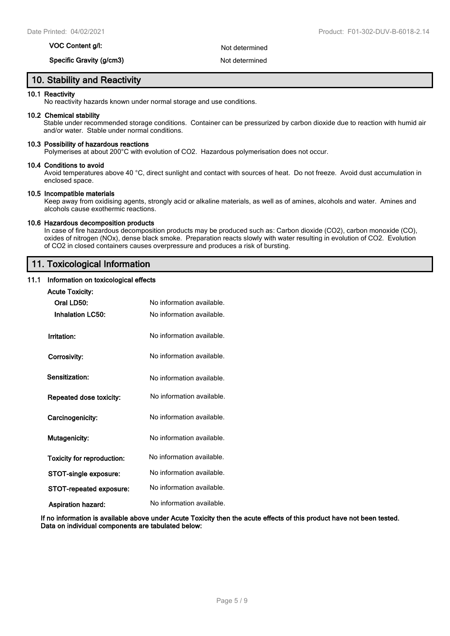## **VOC Content g/l:** Not determined

## **Specific Gravity (g/cm3)** Not determined

## **10. Stability and Reactivity**

### **10.1 Reactivity**

No reactivity hazards known under normal storage and use conditions.

#### **10.2 Chemical stability**

Stable under recommended storage conditions. Container can be pressurized by carbon dioxide due to reaction with humid air and/or water. Stable under normal conditions.

#### **10.3 Possibility of hazardous reactions**

Polymerises at about 200°C with evolution of CO2. Hazardous polymerisation does not occur.

#### **10.4 Conditions to avoid**

Avoid temperatures above 40 °C, direct sunlight and contact with sources of heat. Do not freeze. Avoid dust accumulation in enclosed space.

## **10.5 Incompatible materials**

Keep away from oxidising agents, strongly acid or alkaline materials, as well as of amines, alcohols and water. Amines and alcohols cause exothermic reactions.

#### **10.6 Hazardous decomposition products**

In case of fire hazardous decomposition products may be produced such as: Carbon dioxide (CO2), carbon monoxide (CO), oxides of nitrogen (NOx), dense black smoke. Preparation reacts slowly with water resulting in evolution of CO2. Evolution of CO2 in closed containers causes overpressure and produces a risk of bursting.

## **11. Toxicological Information**

## **11.1 Information on toxicological effects**

| <b>Acute Toxicity:</b>            |                           |
|-----------------------------------|---------------------------|
| Oral LD50:                        | No information available. |
| <b>Inhalation LC50:</b>           | No information available. |
| Irritation:                       | No information available. |
| Corrosivity:                      | No information available. |
| Sensitization:                    | No information available. |
| Repeated dose toxicity:           | No information available. |
| Carcinogenicity:                  | No information available. |
| <b>Mutagenicity:</b>              | No information available. |
| <b>Toxicity for reproduction:</b> | No information available. |
| STOT-single exposure:             | No information available. |
| <b>STOT-repeated exposure:</b>    | No information available. |
| <b>Aspiration hazard:</b>         | No information available. |

**If no information is available above under Acute Toxicity then the acute effects of this product have not been tested. Data on individual components are tabulated below:**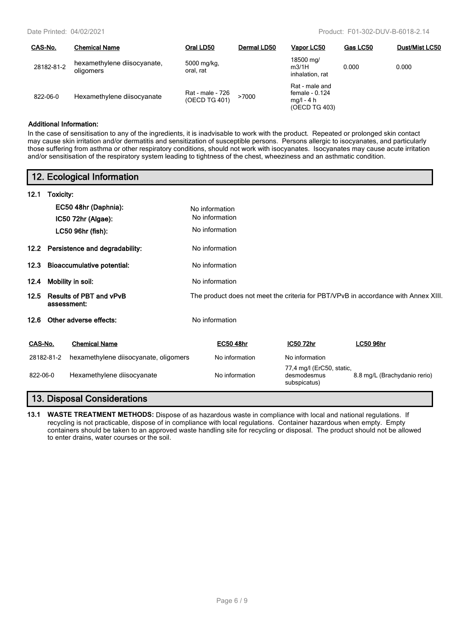| CAS-No.    | <b>Chemical Name</b>                     | Oral LD50                         | Dermal LD50 | Vapor LC50                                                        | Gas LC50 | <b>Dust/Mist LC50</b> |
|------------|------------------------------------------|-----------------------------------|-------------|-------------------------------------------------------------------|----------|-----------------------|
| 28182-81-2 | hexamethylene diisocyanate,<br>oligomers | 5000 mg/kg,<br>oral, rat          |             | 18500 mg/<br>m3/1H<br>inhalation, rat                             | 0.000    | 0.000                 |
| 822-06-0   | Hexamethylene diisocyanate               | Rat - male - 726<br>(OECD TG 401) | >7000       | Rat - male and<br>female - 0.124<br>$mq/l - 4 h$<br>(OECD TG 403) |          |                       |

## **Additional Information:**

In the case of sensitisation to any of the ingredients, it is inadvisable to work with the product. Repeated or prolonged skin contact may cause skin irritation and/or dermatitis and sensitization of susceptible persons. Persons allergic to isocyanates, and particularly those suffering from asthma or other respiratory conditions, should not work with isocyanates. Isocyanates may cause acute irritation and/or sensitisation of the respiratory system leading to tightness of the chest, wheeziness and an asthmatic condition.

|                                                                                                                                             | 12. Ecological Information            |                  |                                                          |                              |  |
|---------------------------------------------------------------------------------------------------------------------------------------------|---------------------------------------|------------------|----------------------------------------------------------|------------------------------|--|
| 12.1                                                                                                                                        | Toxicity:                             |                  |                                                          |                              |  |
|                                                                                                                                             | EC50 48hr (Daphnia):                  | No information   |                                                          |                              |  |
|                                                                                                                                             | IC50 72hr (Algae):                    | No information   |                                                          |                              |  |
|                                                                                                                                             | LC50 96hr (fish):                     | No information   |                                                          |                              |  |
|                                                                                                                                             | 12.2 Persistence and degradability:   | No information   |                                                          |                              |  |
| <b>Bioaccumulative potential:</b><br>12.3                                                                                                   |                                       | No information   |                                                          |                              |  |
| 12.4                                                                                                                                        | Mobility in soil:                     | No information   |                                                          |                              |  |
| <b>Results of PBT and vPvB</b><br>The product does not meet the criteria for PBT/VPvB in accordance with Annex XIII.<br>12.5<br>assessment: |                                       |                  |                                                          |                              |  |
| 12.6                                                                                                                                        | Other adverse effects:                | No information   |                                                          |                              |  |
| CAS-No.                                                                                                                                     | <b>Chemical Name</b>                  | <b>EC50 48hr</b> | IC50 72hr                                                | <b>LC50 96hr</b>             |  |
| 28182-81-2                                                                                                                                  | hexamethylene diisocyanate, oligomers | No information   | No information                                           |                              |  |
| 822-06-0                                                                                                                                    | Hexamethylene diisocyanate            | No information   | 77,4 mg/l (ErC50, static,<br>desmodesmus<br>subspicatus) | 8.8 mg/L (Brachydanio rerio) |  |
|                                                                                                                                             | <b>13. Disposal Considerations</b>    |                  |                                                          |                              |  |

**13.1 WASTE TREATMENT METHODS:** Dispose of as hazardous waste in compliance with local and national regulations. If recycling is not practicable, dispose of in compliance with local regulations. Container hazardous when empty. Empty containers should be taken to an approved waste handling site for recycling or disposal. The product should not be allowed to enter drains, water courses or the soil.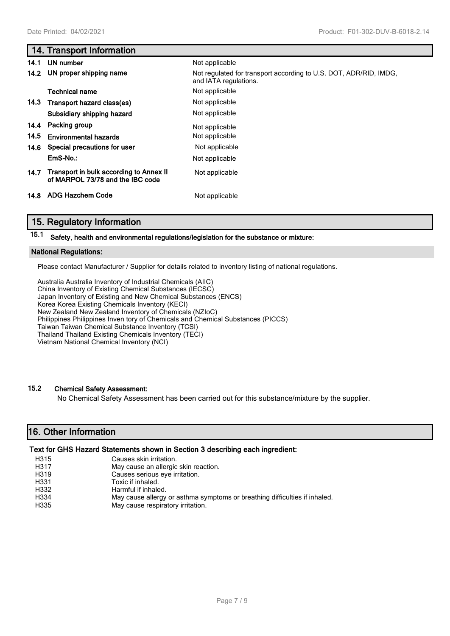# **14. Transport Information 14.1 UN number** Not applicable **14.2 UN proper shipping name** Not regulated for transport according to U.S. DOT, ADR/RID, IMDG, and IATA regulations. **Technical name** Not applicable **14.3 Transport hazard class(es)** Not applicable **Subsidiary shipping hazard** Not applicable **14.4 Packing group** Not applicable **14.5 Environmental hazards** Not applicable **14.6 Special precautions for user** Not applicable **EmS-No.:** Not applicable **14.7 Transport in bulk according to Annex II** Not applicable **of MARPOL 73/78 and the IBC code 14.8 ADG Hazchem Code** Not applicable

## **15. Regulatory Information**

**15.1 Safety, health and environmental regulations/legislation for the substance or mixture:**

## **National Regulations:**

Please contact Manufacturer / Supplier for details related to inventory listing of national regulations.

Australia Australia Inventory of Industrial Chemicals (AIIC) China Inventory of Existing Chemical Substances (IECSC) Japan Inventory of Existing and New Chemical Substances (ENCS) Korea Korea Existing Chemicals Inventory (KECI) New Zealand New Zealand Inventory of Chemicals (NZIoC) Philippines Philippines Inven tory of Chemicals and Chemical Substances (PICCS) Taiwan Taiwan Chemical Substance Inventory (TCSI) Thailand Thailand Existing Chemicals Inventory (TECI) Vietnam National Chemical Inventory (NCI)

## **15.2 Chemical Safety Assessment:**

No Chemical Safety Assessment has been carried out for this substance/mixture by the supplier.

## **16. Other Information**

## **Text for GHS Hazard Statements shown in Section 3 describing each ingredient:**

| H315 | Causes skin irritation.                                                    |
|------|----------------------------------------------------------------------------|
| H317 | May cause an allergic skin reaction.                                       |
| H319 | Causes serious eye irritation.                                             |
| H331 | Toxic if inhaled.                                                          |
| H332 | Harmful if inhaled.                                                        |
| H334 | May cause allergy or asthma symptoms or breathing difficulties if inhaled. |
| H335 | May cause respiratory irritation.                                          |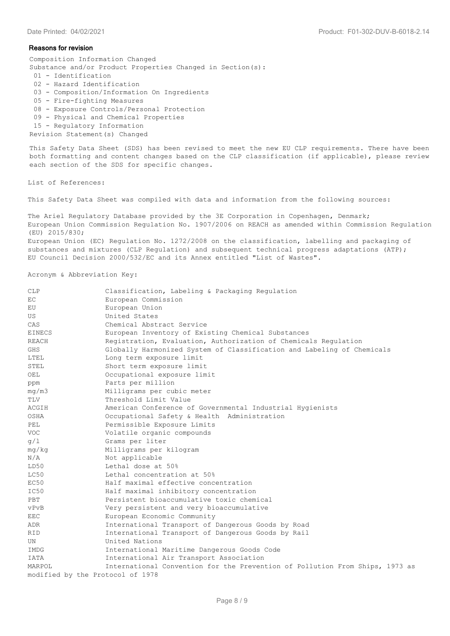#### **Reasons for revision**

Composition Information Changed Substance and/or Product Properties Changed in Section(s):

- 01 Identification
- 02 Hazard Identification
- 03 Composition/Information On Ingredients
- 05 Fire-fighting Measures
- 08 Exposure Controls/Personal Protection
- 09 Physical and Chemical Properties
- 15 Regulatory Information
- Revision Statement(s) Changed

This Safety Data Sheet (SDS) has been revised to meet the new EU CLP requirements. There have been both formatting and content changes based on the CLP classification (if applicable), please review each section of the SDS for specific changes.

#### List of References:

This Safety Data Sheet was compiled with data and information from the following sources:

The Ariel Regulatory Database provided by the 3E Corporation in Copenhagen, Denmark; European Union Commission Regulation No. 1907/2006 on REACH as amended within Commission Regulation (EU) 2015/830; European Union (EC) Regulation No. 1272/2008 on the classification, labelling and packaging of substances and mixtures (CLP Regulation) and subsequent technical progress adaptations (ATP); EU Council Decision 2000/532/EC and its Annex entitled "List of Wastes".

#### Acronym & Abbreviation Key:

| <b>CLP</b>                       | Classification, Labeling & Packaging Regulation                              |
|----------------------------------|------------------------------------------------------------------------------|
| EC                               | European Commission                                                          |
| EU                               | European Union                                                               |
| US                               | United States                                                                |
| CAS                              | Chemical Abstract Service                                                    |
| <b>EINECS</b>                    | European Inventory of Existing Chemical Substances                           |
| REACH                            | Registration, Evaluation, Authorization of Chemicals Regulation              |
| GHS                              | Globally Harmonized System of Classification and Labeling of Chemicals       |
| LTEL                             | Long term exposure limit                                                     |
| STEL                             | Short term exposure limit                                                    |
| OEL                              | Occupational exposure limit                                                  |
| ppm                              | Parts per million                                                            |
| mq/m3                            | Milligrams per cubic meter                                                   |
| TLV                              | Threshold Limit Value                                                        |
| ACGIH                            | American Conference of Governmental Industrial Hygienists                    |
| OSHA                             | Occupational Safety & Health Administration                                  |
| PEL                              | Permissible Exposure Limits                                                  |
| <b>VOC</b>                       | Volatile organic compounds                                                   |
| q/1                              | Grams per liter                                                              |
| mg/kg                            | Milligrams per kilogram                                                      |
| N/A                              | Not applicable                                                               |
| LD50                             | Lethal dose at 50%                                                           |
| LC50                             | Lethal concentration at 50%                                                  |
| EC50                             | Half maximal effective concentration                                         |
| IC50                             | Half maximal inhibitory concentration                                        |
| PBT                              | Persistent bioaccumulative toxic chemical                                    |
| vPvB                             | Very persistent and very bioaccumulative                                     |
| EEC                              | European Economic Community                                                  |
| ADR                              | International Transport of Dangerous Goods by Road                           |
| RID                              | International Transport of Dangerous Goods by Rail                           |
| UN                               | United Nations                                                               |
| IMDG                             | International Maritime Dangerous Goods Code                                  |
| IATA                             | International Air Transport Association                                      |
| MARPOL                           | International Convention for the Prevention of Pollution From Ships, 1973 as |
| modified by the Protocol of 1978 |                                                                              |